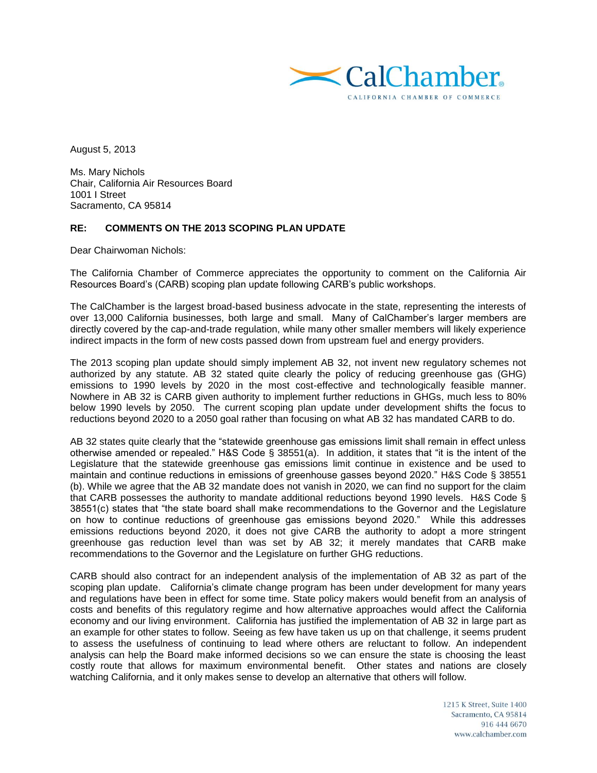

August 5, 2013

Ms. Mary Nichols Chair, California Air Resources Board 1001 I Street Sacramento, CA 95814

## **RE: COMMENTS ON THE 2013 SCOPING PLAN UPDATE**

Dear Chairwoman Nichols:

The California Chamber of Commerce appreciates the opportunity to comment on the California Air Resources Board's (CARB) scoping plan update following CARB's public workshops.

The CalChamber is the largest broad-based business advocate in the state, representing the interests of over 13,000 California businesses, both large and small. Many of CalChamber's larger members are directly covered by the cap-and-trade regulation, while many other smaller members will likely experience indirect impacts in the form of new costs passed down from upstream fuel and energy providers.

The 2013 scoping plan update should simply implement AB 32, not invent new regulatory schemes not authorized by any statute. AB 32 stated quite clearly the policy of reducing greenhouse gas (GHG) emissions to 1990 levels by 2020 in the most cost-effective and technologically feasible manner. Nowhere in AB 32 is CARB given authority to implement further reductions in GHGs, much less to 80% below 1990 levels by 2050. The current scoping plan update under development shifts the focus to reductions beyond 2020 to a 2050 goal rather than focusing on what AB 32 has mandated CARB to do.

AB 32 states quite clearly that the "statewide greenhouse gas emissions limit shall remain in effect unless otherwise amended or repealed." H&S Code § 38551(a). In addition, it states that "it is the intent of the Legislature that the statewide greenhouse gas emissions limit continue in existence and be used to maintain and continue reductions in emissions of greenhouse gasses beyond 2020." H&S Code § 38551 (b). While we agree that the AB 32 mandate does not vanish in 2020, we can find no support for the claim that CARB possesses the authority to mandate additional reductions beyond 1990 levels. H&S Code § 38551(c) states that "the state board shall make recommendations to the Governor and the Legislature on how to continue reductions of greenhouse gas emissions beyond 2020." While this addresses emissions reductions beyond 2020, it does not give CARB the authority to adopt a more stringent greenhouse gas reduction level than was set by AB 32; it merely mandates that CARB make recommendations to the Governor and the Legislature on further GHG reductions.

CARB should also contract for an independent analysis of the implementation of AB 32 as part of the scoping plan update. California's climate change program has been under development for many years and regulations have been in effect for some time. State policy makers would benefit from an analysis of costs and benefits of this regulatory regime and how alternative approaches would affect the California economy and our living environment. California has justified the implementation of AB 32 in large part as an example for other states to follow. Seeing as few have taken us up on that challenge, it seems prudent to assess the usefulness of continuing to lead where others are reluctant to follow. An independent analysis can help the Board make informed decisions so we can ensure the state is choosing the least costly route that allows for maximum environmental benefit. Other states and nations are closely watching California, and it only makes sense to develop an alternative that others will follow.